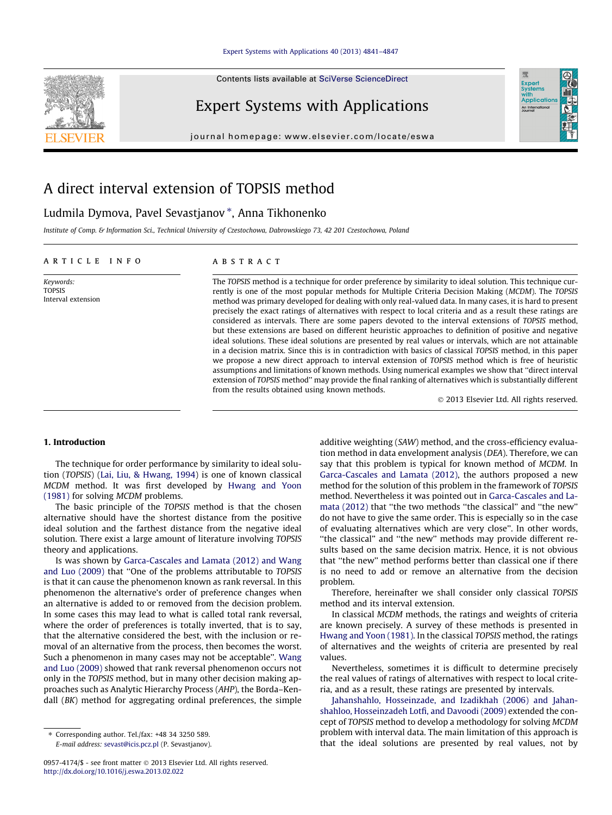#### [Expert Systems with Applications 40 \(2013\) 4841–4847](http://dx.doi.org/10.1016/j.eswa.2013.02.022)

Contents lists available at SciVerse ScienceDirect



# Expert Systems with Applications

journal homepage: [www.elsevier.com/locate/eswa](http://www.elsevier.com/locate/eswa)

## A direct interval extension of TOPSIS method

### Ludmila Dymova, Pavel Sevastjanov \*, Anna Tikhonenko

Institute of Comp. & Information Sci., Technical University of Czestochowa, Dabrowskiego 73, 42 201 Czestochowa, Poland

#### article info

Keywords: TOPSIS Interval extension

#### ABSTRACT

The TOPSIS method is a technique for order preference by similarity to ideal solution. This technique currently is one of the most popular methods for Multiple Criteria Decision Making (MCDM). The TOPSIS method was primary developed for dealing with only real-valued data. In many cases, it is hard to present precisely the exact ratings of alternatives with respect to local criteria and as a result these ratings are considered as intervals. There are some papers devoted to the interval extensions of TOPSIS method, but these extensions are based on different heuristic approaches to definition of positive and negative ideal solutions. These ideal solutions are presented by real values or intervals, which are not attainable in a decision matrix. Since this is in contradiction with basics of classical TOPSIS method, in this paper we propose a new direct approach to interval extension of TOPSIS method which is free of heuristic assumptions and limitations of known methods. Using numerical examples we show that ''direct interval extension of TOPSIS method'' may provide the final ranking of alternatives which is substantially different from the results obtained using known methods.

- 2013 Elsevier Ltd. All rights reserved.

#### 1. Introduction

The technique for order performance by similarity to ideal solu-tion (TOPSIS) ([Lai, Liu, & Hwang, 1994](#page-5-0)) is one of known classical MCDM method. It was first developed by [Hwang and Yoon](#page-5-0)  [\(1981\)](#page-5-0) for solving MCDM problems.

The basic principle of the TOPSIS method is that the chosen alternative should have the shortest distance from the positive ideal solution and the farthest distance from the negative ideal solution. There exist a large amount of literature involving TOPSIS theory and applications.

Is was shown by Garca-Cascales and Lamata (2012) and Wang [and Luo \(2009\)](#page-5-0) that ''One of the problems attributable to TOPSIS is that it can cause the phenomenon known as rank reversal. In this phenomenon the alternative's order of preference changes when an alternative is added to or removed from the decision problem. In some cases this may lead to what is called total rank reversal, where the order of preferences is totally inverted, that is to say, that the alternative considered the best, with the inclusion or removal of an alternative from the process, then becomes the worst. Such a phenomenon in many cases may not be acceptable". [Wang](#page-5-0) [and Luo \(2009\)](#page-5-0) showed that rank reversal phenomenon occurs not only in the TOPSIS method, but in many other decision making approaches such as Analytic Hierarchy Process (AHP), the Borda–Kendall (BK) method for aggregating ordinal preferences, the simple

additive weighting (SAW) method, and the cross-efficiency evaluation method in data envelopment analysis (DEA). Therefore, we can say that this problem is typical for known method of MCDM. In Garca-Cascales and Lamata (2012), the authors proposed a new method for the solution of this problem in the framework of TOPSIS method. Nevertheless it was pointed out in Garca-Cascales and La[mata \(2012\)](#page-5-0) that ''the two methods ''the classical'' and ''the new'' do not have to give the same order. This is especially so in the case of evaluating alternatives which are very close''. In other words, ''the classical'' and ''the new'' methods may provide different results based on the same decision matrix. Hence, it is not obvious that ''the new'' method performs better than classical one if there is no need to add or remove an alternative from the decision problem.

Therefore, hereinafter we shall consider only classical TOPSIS method and its interval extension.

In classical MCDM methods, the ratings and weights of criteria are known precisely. A survey of these methods is presented in [Hwang and Yoon \(1981\)](#page-5-0). In the classical TOPSIS method, the ratings of alternatives and the weights of criteria are presented by real values.

Nevertheless, sometimes it is difficult to determine precisely the real values of ratings of alternatives with respect to local criteria, and as a result, these ratings are presented by intervals.

Jahanshahlo, Hosseinzade, and Izadikhah (2006) and Jahanshahloo, Hosseinzadeh Lotfi, and Davoodi (2009) extended the concept of TOPSIS method to develop a methodology for solving MCDM problem with interval data. The main limitation of this approach is that the ideal solutions are presented by real values, not by

<sup>⇑</sup> Corresponding author. Tel./fax: +48 34 3250 589. E-mail address: [sevast@icis.pcz.pl](mailto:sevast@icis.pcz.pl) (P. Sevastjanov).

<sup>0957-4174/\$ -</sup> see front matter © 2013 Elsevier Ltd. All rights reserved. <http://dx.doi.org/10.1016/j.eswa.2013.02.022>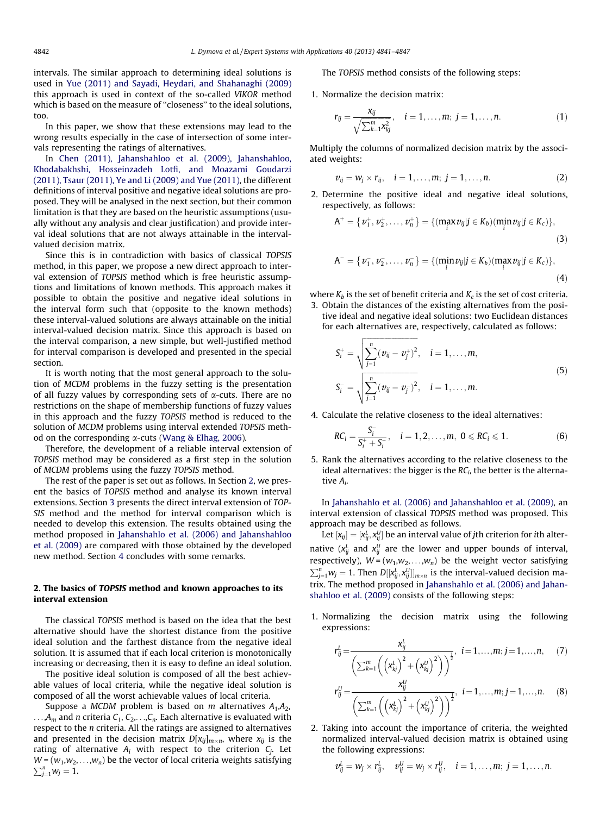<span id="page-1-0"></span>intervals. The similar approach to determining ideal solutions is used in [Yue \(2011\) and Sayadi, Heydari, and Shahanaghi \(2009\)](#page-6-0) this approach is used in context of the so-called VIKOR method which is based on the measure of "closeness" to the ideal solutions, too.

In this paper, we show that these extensions may lead to the wrong results especially in the case of intersection of some intervals representing the ratings of alternatives.

In Chen (2011), Jahanshahloo et al. (2009), Jahanshahloo, Khodabakhshi, Hosseinzadeh Lotfi, and Moazami Goudarzi [\(2011\), Tsaur \(2011\), Ye and Li \(2009\) and Yue \(2011\)](#page-5-0), the different definitions of interval positive and negative ideal solutions are proposed. They will be analysed in the next section, but their common limitation is that they are based on the heuristic assumptions (usually without any analysis and clear justification) and provide interval ideal solutions that are not always attainable in the intervalvalued decision matrix.

Since this is in contradiction with basics of classical TOPSIS method, in this paper, we propose a new direct approach to interval extension of TOPSIS method which is free heuristic assumptions and limitations of known methods. This approach makes it possible to obtain the positive and negative ideal solutions in the interval form such that (opposite to the known methods) these interval-valued solutions are always attainable on the initial interval-valued decision matrix. Since this approach is based on the interval comparison, a new simple, but well-justified method for interval comparison is developed and presented in the special section.

It is worth noting that the most general approach to the solution of MCDM problems in the fuzzy setting is the presentation of all fuzzy values by corresponding sets of  $\alpha$ -cuts. There are no restrictions on the shape of membership functions of fuzzy values in this approach and the fuzzy TOPSIS method is reduced to the solution of MCDM problems using interval extended TOPSIS method on the corresponding  $\alpha$ -cuts [\(Wang & Elhag, 2006](#page-5-0)).

Therefore, the development of a reliable interval extension of TOPSIS method may be considered as a first step in the solution of MCDM problems using the fuzzy TOPSIS method.

The rest of the paper is set out as follows. In Section 2, we present the basics of TOPSIS method and analyse its known interval extensions. Section [3](#page-2-0) presents the direct interval extension of TOP-SIS method and the method for interval comparison which is needed to develop this extension. The results obtained using the method proposed in Jahanshahlo et al. (2006) and Jahanshahloo [et al. \(2009\)](#page-5-0) are compared with those obtained by the developed new method. Section [4](#page-5-0) concludes with some remarks.

#### 2. The basics of TOPSIS method and known approaches to its interval extension

The classical TOPSIS method is based on the idea that the best alternative should have the shortest distance from the positive ideal solution and the farthest distance from the negative ideal solution. It is assumed that if each local criterion is monotonically increasing or decreasing, then it is easy to define an ideal solution.

The positive ideal solution is composed of all the best achievable values of local criteria, while the negative ideal solution is composed of all the worst achievable values of local criteria.

Suppose a MCDM problem is based on m alternatives  $A_1, A_2,$  $\ldots$ ,  $A_m$  and *n* criteria  $C_1$ ,  $C_2$ ,  $\ldots$ ,  $C_n$ . Each alternative is evaluated with respect to the n criteria. All the ratings are assigned to alternatives and presented in the decision matrix  $D[x_{ij}]_{m \times n}$ , where  $x_{ij}$  is the rating of alternative  $A_i$  with respect to the criterion  $C_j$ . Let  $W = (w_1, w_2, \ldots, w_n)$  be the vector of local criteria weights satisfying  $\sum_{j=1}^{n} w_j = 1.$ 

The TOPSIS method consists of the following steps:

1. Normalize the decision matrix:

$$
r_{ij} = \frac{x_{ij}}{\sqrt{\sum_{k=1}^{m} x_{kj}^2}}, \quad i = 1, \dots, m; \ j = 1, \dots, n.
$$
 (1)

Multiply the columns of normalized decision matrix by the associated weights:

$$
v_{ij} = w_j \times r_{ij}, \quad i = 1, ..., m; \ j = 1, ..., n.
$$
 (2)

2. Determine the positive ideal and negative ideal solutions, respectively, as follows:

$$
A^{+} = \{v_{1}^{+}, v_{2}^{+}, \dots, v_{n}^{+}\} = \{(\max_{i} v_{ij} | j \in K_{b})(\min_{i} v_{ij} | j \in K_{c})\},
$$
\n
$$
A^{-} = \{v_{1}^{-}, v_{2}^{-}, \dots, v_{n}^{-}\} = \{(\min_{i} v_{ij} | j \in K_{b})(\max_{i} v_{ij} | j \in K_{c})\},
$$
\n
$$
(4)
$$

where  $K_b$  is the set of benefit criteria and  $K_c$  is the set of cost criteria.

3. Obtain the distances of the existing alternatives from the positive ideal and negative ideal solutions: two Euclidean distances for each alternatives are, respectively, calculated as follows:

$$
S_i^+ = \sqrt{\sum_{j=1}^n (v_{ij} - v_j^+)^2}, \quad i = 1, ..., m,
$$
  

$$
S_i^- = \sqrt{\sum_{j=1}^n (v_{ij} - v_j^-)^2}, \quad i = 1, ..., m.
$$
 (5)

4. Calculate the relative closeness to the ideal alternatives:

$$
RC_i = \frac{S_i^-}{S_i^+ + S_i^-}, \quad i = 1, 2, ..., m, \ 0 \le RC_i \le 1.
$$
 (6)

5. Rank the alternatives according to the relative closeness to the ideal alternatives: the bigger is the  $RC<sub>i</sub>$ , the better is the alternative Ai.

In Jahanshahlo et al. (2006) and Jahanshahloo et al. (2009), an interval extension of classical TOPSIS method was proposed. This approach may be described as follows.

Let  $[x_{ij}] = [x_{ij}^L, x_{ij}^U]$  be an interval value of jth criterion for ith alternative ( $x_{ij}^L$  and  $x_{ij}^U$  are the lower and upper bounds of interval, respectively),  $W = (w_1, w_2, \ldots, w_n)$  be the weight vector satisfying  $\sum_{j=1}^{n} w_j = 1$ . Then  $D[[x_{ij}^L, x_{ij}^U]]_{m \times n}$  is the interval-valued decision matrix. The method proposed in [Jahanshahlo et al. \(2006\) and Jahan](#page-5-0)[shahloo et al. \(2009\)](#page-5-0) consists of the following steps:

1. Normalizing the decision matrix using the following expressions:

 $\mathbf{r}$ 

$$
\sum_{ij}^{L} = \frac{x_{ij}^{L}}{\left(\sum_{k=1}^{m} \left(\left(x_{kj}^{L}\right)^{2} + \left(x_{kj}^{U}\right)^{2}\right)\right)^{\frac{1}{2}}}, i = 1, \ldots, m; j = 1, \ldots, n, (7)
$$

$$
r_{ij}^U = \frac{x_{ij}^U}{\left(\sum_{k=1}^m \left(\left(x_{kj}^L\right)^2 + \left(x_{kj}^U\right)^2\right)\right)^{\frac{1}{2}}}, \quad i = 1, \dots, m; j = 1, \dots, n. \tag{8}
$$

2. Taking into account the importance of criteria, the weighted normalized interval-valued decision matrix is obtained using the following expressions:

$$
v_{ij}^L = w_j \times r_{ij}^L, \quad v_{ij}^U = w_j \times r_{ij}^U, \quad i = 1, \ldots, m; \ j = 1, \ldots, n.
$$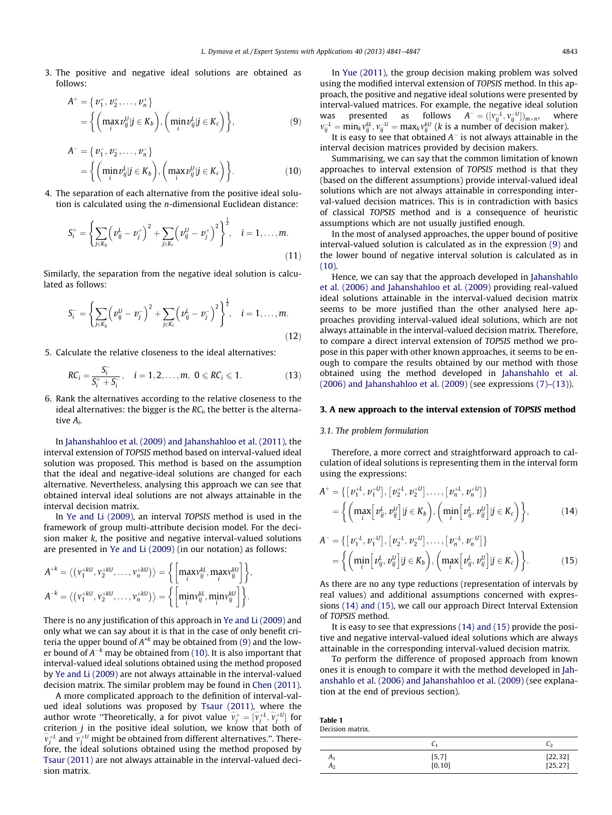<span id="page-2-0"></span>3. The positive and negative ideal solutions are obtained as follows:

$$
A^+ = \{v_1^+, v_2^+, \dots, v_n^+\}
$$
  
= 
$$
\left\{ \left(\max_i v_{ij}^U | j \in K_b \right), \left(\min_i v_{ij}^L | j \in K_c \right) \right\},
$$
 (9)

$$
A^{-} = \{v_1^-, v_2^-, \dots, v_n^-\}
$$
  
= 
$$
\left\{ \left(\min_i v_{ij}^L | j \in K_b \right), \left(\max_i v_{ij}^U | j \in K_c \right) \right\}.
$$
 (10)

4. The separation of each alternative from the positive ideal solution is calculated using the n-dimensional Euclidean distance:

$$
S_i^+ = \left\{ \sum_{j \in K_b} \left( \nu_{ij}^L - \nu_j^+ \right)^2 + \sum_{j \in K_c} \left( \nu_{ij}^U - \nu_j^+ \right)^2 \right\}^{\frac{1}{2}}, \quad i = 1, \dots, m.
$$
\n(11)

Similarly, the separation from the negative ideal solution is calculated as follows:

$$
S_i^- = \left\{ \sum_{j \in K_b} \left( v_{ij}^U - v_j^- \right)^2 + \sum_{j \in K_c} \left( v_{ij}^L - v_j^- \right)^2 \right\}^{\frac{1}{2}}, \quad i = 1, \dots, m.
$$
\n(12)

5. Calculate the relative closeness to the ideal alternatives :

$$
RC_i = \frac{S_i^-}{S_i^+ + S_i^-}, \quad i = 1, 2, ..., m, \ 0 \le RC_i \le 1. \tag{13}
$$

6. Rank the alternatives according to the relative closeness to the ideal alternatives: the bigger is the  $RC<sub>i</sub>$ , the better is the alternative Ai.

In Jahanshahloo et al. (2009) and Jahanshahloo et al. (2011), the interval extension of TOPSIS method based on interval-valued ideal solution was proposed. This method is based on the assumption that the ideal and negative-ideal solutions are changed for each alternative. Nevertheless, analysing this approach we can see that obtained interval ideal solutions are not always attainable in the interval decision matrix.

In [Ye and Li \(2009\),](#page-6-0) an interval TOPSIS method is used in the framework of group multi-attribute decision model. For the decision maker k, the positive and negative interval-valued solutions are presented in [Ye and Li \(2009\)](#page-6-0) (in our notation) as follows:

$$
A^{+k} = \langle (v_1^{+kU}, v_2^{+kU}, \dots, v_n^{+kU}) \rangle = \left\{ \left[ \max_i v_{ij}^{kL}, \max_i v_{ij}^{kU} \right] \right\},
$$
  

$$
A^{-k} = \langle (v_1^{+kU}, v_2^{+kU}, \dots, v_n^{+kU}) \rangle = \left\{ \left[ \min_i v_{ij}^{kL}, \min_i v_{ij}^{kU} \right] \right\}.
$$

There is no any justification of this approach in [Ye and Li \(2009\)](#page-6-0) and only what we can say about it is that in the case of only benefit criteria the upper bound of  $A^{k}$  may be obtained from (9) and the lower bound of  $A^{-k}$  may be obtained from (10). It is also important that interval-valued ideal solutions obtained using the method proposed by [Ye and Li \(2009\)](#page-6-0) are not always attainable in the interval-valued decision matrix. The similar problem may be found in [Chen \(2011\).](#page-5-0)

A more complicated approach to the definition of interval-valued ideal solutions was proposed by [Tsaur \(2011\)](#page-5-0), where the author wrote "Theoretically, a for pivot value  $\hat{v}_j^+ = [\hat{v}_j^{+L}, \hat{v}_j^{+U}]$  for criterion  $j$  in the positive ideal solution, we know that both of  $\widehat{v}_j^{+\iota}$  and  $\widehat{v}_j^{+\iota}$  might be obtained from different alternatives.". Therefore, the ideal solutions obtained using the method proposed by [Tsaur \(2011\)](#page-5-0) are not always attainable in the interval-valued decision matrix.

In [Yue \(2011\),](#page-6-0) the group decision making problem was solved using the modified interval extension of TOPSIS method. In this approach, the positive and negative ideal solutions were presented by interval-valued matrices. For example, the negative ideal solution was presented as follows  $A^- = ([v_{ij}^{-L}, v_{ij}^{-U}])_{m \times m}$ where  $v_{ij}^{-L} = \min_k v_{ij}^{kL}, v_{ij}^{-U} = \max_k v_{ij}^{kU}$  (k is a number of decision maker).

It is easy to see that obtained  $A^-$  is not always attainable in the interval decision matrices provided by decision makers.

Summarising, we can say that the common limitation of known approaches to interval extension of TOPSIS method is that they (based on the different assumptions) provide interval-valued ideal solutions which are not always attainable in corresponding interval-valued decision matrices. This is in contradiction with basics of classical TOPSIS method and is a consequence of heuristic assumptions which are not usually justified enough.

In the most of analysed approaches, the upper bound of positive interval-valued solution is calculated as in the expression (9) and the lower bound of negative interval solution is calculated as in (10).

Hence, we can say that the approach developed in [Jahanshahlo](#page-5-0) et al. (2006) and Jahanshahloo et al. (2009) providing real-valued ideal solutions attainable in the interval-valued decision matrix seems to be more justified than the other analysed here approaches providing interval-valued ideal solutions, which are not always attainable in the interval-valued decision matrix. Therefore, to compare a direct interval extension of TOPSIS method we propose in this paper with other known approaches, it seems to be enough to compare the results obtained by our method with those obtained using the method developed in [Jahanshahlo et al.](#page-5-0)  $(2006)$  and Jahanshahloo et al.  $(2009)$  (see expressions  $(7)-(13)$ ).

#### 3. A new approach to the interval extension of TOPSIS method

#### 3.1. The problem formulation

Therefore, a more correct and straightforward approach to calculation of ideal solutions is representing them in the interval form using the expressions :

$$
A^{+} = \{ [v_{1}^{+L}, v_{1}^{+U}], [v_{2}^{+L}, v_{2}^{+U}], \dots, [v_{n}^{+L}, v_{n}^{+U}] \}
$$
  
= 
$$
\left\{ \left( \max_{i} [v_{ij}^{L}, v_{ij}^{U}] | j \in K_{b} \right), \left( \min_{i} [v_{ij}^{L}, v_{ij}^{U}] | j \in K_{c} \right) \right\},
$$
 (14)

$$
A^{-} = \{ [v_{1}^{-L}, v_{1}^{-U}], [v_{2}^{-L}, v_{2}^{-U}], \dots, [v_{n}^{-L}, v_{n}^{-U}] \}
$$
  
= 
$$
\left\{ \left( \min_{i} [v_{ij}^{L}, v_{ij}^{U}] | j \in K_{b} \right), \left( \max_{i} [v_{ij}^{L}, v_{ij}^{U}] | j \in K_{c} \right) \right\}.
$$
 (15)

As there are no any type reductions (representation of intervals by real values) and additional assumptions concerned with expressions (14) and (15), we call our approach Direct Interval Extension of TOPSIS method.

It is easy to see that expressions (14) and (15) provide the positive and negative interval-valued ideal solutions which are always attainable in the corresponding interval-valued decision matrix.

To perform the difference of proposed approach from known ones it is enough to compare it with the method developed in [Jah](#page-5-0)anshahlo et al. (2006) and Jahanshahloo et al. (2009) (see explanation at the end of previous section).

| Table 1          |  |
|------------------|--|
| Decision matrix. |  |

|                      |                                                                      | C٦                       |
|----------------------|----------------------------------------------------------------------|--------------------------|
| A۱<br>A <sub>2</sub> | $\begin{array}{c} \left[5,7\right] \\ \left[0,10\right] \end{array}$ | $[22, 32]$<br>$[25, 27]$ |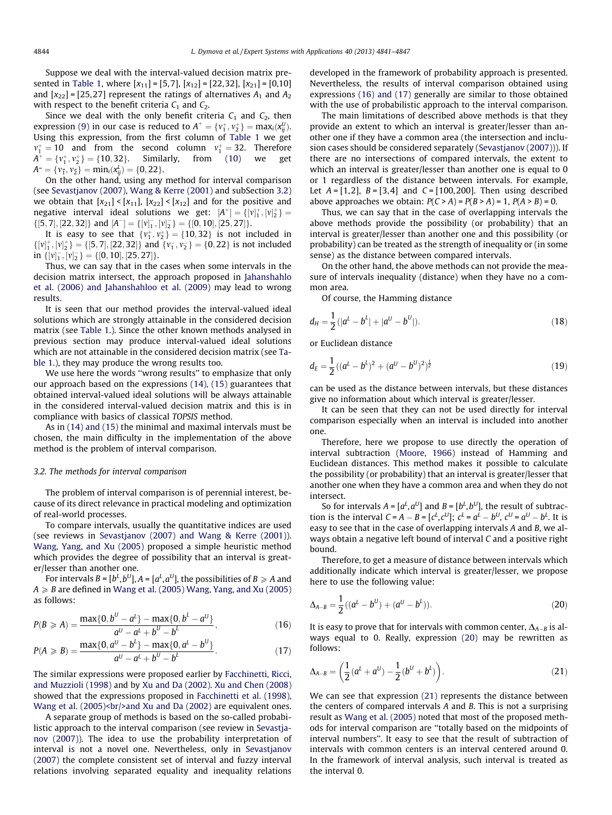<span id="page-3-0"></span>Suppose we deal with the interval-valued decision matrix pre-sented in [Table 1,](#page-2-0) where  $[x_{11}] = [5,7]$ ,  $[x_{12}] = [22,32]$ ,  $[x_{21}] = [0,10]$ and  $[x_{22}] = [25,27]$  represent the ratings of alternatives  $A_1$  and  $A_2$ with respect to the benefit criteria  $C_1$  and  $C_2$ .

Since we deal with the only benefit criteria  $C_1$  and  $C_2$ , then expression [\(9\)](#page-2-0) in our case is reduced to  $A^+=\{v_1^+,v_2^+\}= \max_i (x_{ij}^U).$ Using this expression, from the first column of [Table 1](#page-2-0) we get  $v_1^+ = 10$  and from the second column  $v_1^+ = 32$ . Therefore  $A^+ = \{v_1^+, v_2^+\} = \{10, 32\}.$  Similarly, from [\(10\)](#page-2-0) we get  $A^- = \{v^-_1, v^-_2\} = \min_i(x_{ij}^L) = \{0, 22\}.$ 

On the other hand, using any method for interval comparison (see [Sevastjanov \(2007\), Wang & Kerre \(2001\)](#page-5-0) and subSection 3.2) we obtain that  $[x_{21}] \leq [x_{11}]$ ,  $[x_{22}] \leq [x_{12}]$  and for the positive and negative interval ideal solutions we get:  $[A^+] = \{ [v]_1^+, [v]_2^+ \} =$  $\{[5,7], [22,32]\}$  and  $[A^-] = \{[v]_1^-, [v]_2^-\} = \{[0,10], [25,27]\}.$ 

It is easy to see that  $\{v_1^+, v_2^+\} = \{10, 32\}$  is not included in  $\{[\nu_1^+,[\nu_2^+]=\{[5,7],[22,32]\}\}$  and  $\{\nu_1^-,\nu_2^-\}=\{0,22\}$  is not included in  $\{ [v]_1^-, [v]_2^-\} = \{ [0, 10], [25, 27] \}.$ 

Thus, we can say that in the cases when some intervals in the decision matrix intersect, the approach proposed in [Jahanshahlo](#page-5-0) et al. (2006) and Jahanshahloo et al. (2009) may lead to wrong results.

It is seen that our method provides the interval-valued ideal solutions which are strongly attainable in the considered decision matrix (see [Table 1](#page-2-0).). Since the other known methods analysed in previous section may produce interval-valued ideal solutions which are not attainable in the considered decision matrix (see [Ta](#page-2-0)[ble 1.](#page-2-0)), they may produce the wrong results too.

We use here the words "wrong results" to emphasize that only our approach based on the expressions [\(14\), \(15\)](#page-2-0) guarantees that obtained interval-valued ideal solutions will be always attainable in the considered interval-valued decision matrix and this is in compliance with basics of classical TOPSIS method.

As in [\(14\) and \(15\)](#page-2-0) the minimal and maximal intervals must be chosen, the main difficulty in the implementation of the above method is the problem of interval comparison.

#### 3.2. The methods for interval comparison

The problem of interval comparison is of perennial interest, because of its direct relevance in practical modeling and optimization of real-world processes.

To compare intervals, usually the quantitative indices are used (see reviews in [Sevastjanov \(2007\) and Wang & Kerre \(2001\)\)](#page-5-0). [Wang, Yang, and Xu \(2005\)](#page-6-0) proposed a simple heuristic method which provides the degree of possibility that an interval is greater/lesser than another one.

For intervals B = [b $^L$ , b $^U$ ], A = [ $a^L$ ,  $a^U$ ], the possibilities of B  $\geqslant$  A and  $A \geq B$  are defined in [Wang et al. \(2005\) Wang, Yang, and Xu \(2005\)](#page-6-0) as follows:

$$
P(B \ge A) = \frac{\max\{0, b^U - a^L\} - \max\{0, b^L - a^U\}}{a^U - a^L + b^U - b^L},
$$
\n(16)

$$
P(A \ge B) = \frac{\max\{0, a^U - b^L\} - \max\{0, a^L - b^U\}}{a^U - a^L + b^U - b^L}.
$$
 (17)

The similar expressions were proposed earlier by Facchinetti, Ricci, [and Muzzioli \(1998\)](#page-5-0) and by [Xu and Da \(2002\).](#page-6-0) [Xu and Chen \(2008\)](#page-6-0) showed that the expressions proposed in Facchinetti et al. (1998), Wang et al.  $(2005)$  sbr/> and Xu and Da  $(2002)$  are equivalent ones.

A separate group of methods is based on the so-called probabi-listic approach to the interval comparison (see review in [Sevastja](#page-5-0)[nov \(2007\)](#page-5-0)). The idea to use the probability interpretation of interval is not a novel one. Nevertheless, only in [Sevastjanov](#page-5-0) [\(2007\)](#page-5-0) the complete consistent set of interval and fuzzy interval relations involving separated equality and inequality relations developed in the framework of probability approach is presented. Nevertheless, the results of interval comparison obtained using expressions (16) and (17) generally are similar to those obtained with the use of probabilistic approach to the interval comparison.

The main limitations of described above methods is that they provide an extent to which an interval is greater/lesser than another one if they have a common area (the intersection and inclusion cases should be considered separately [\(Sevastjanov \(2007\)\)](#page-5-0)). If there are no intersections of compared intervals, the extent to which an interval is greater/lesser than another one is equal to 0 or 1 regardless of the distance between intervals. For example, Let  $A = [1,2]$ ,  $B = [3,4]$  and  $C = [100,200]$ . Then using described above approaches we obtain:  $P(C > A) = P(B > A) = 1$ ,  $P(A > B) = 0$ .

Thus, we can say that in the case of overlapping intervals the above methods provide the possibility (or probability) that an interval is greater/lesser than another one and this possibility (or probability) can be treated as the strength of inequality or (in some sense) as the distance between compared intervals.

On the other hand, the above methods can not provide the measure of intervals inequality (distance) when they have no a common area.

Of course, the Hamming distance

$$
d_H = \frac{1}{2}(|a^L - b^L| + |a^U - b^U|). \tag{18}
$$

or Euclidean distance

$$
d_E = \frac{1}{2}((a^L - b^L)^2 + (a^U - b^U)^2)^{\frac{1}{2}}
$$
\n(19)

can be used as the distance between intervals, but these distances give no information about which interval is greater/lesser.

It can be seen that they can not be used directly for interval comparison especially when an interval is included into another one.

Therefore, here we propose to use directly the operation of interval subtraction (Moore, 1966) instead of Hamming and Euclidean distances. This method makes it possible to calculate the possibility (or probability) that an interval is greater/lesser that another one when they have a common area and when they do not intersect.

So for intervals  $A = [a^L, a^U]$  and  $B = [b^L, b^U]$ , the result of subtraction is the interval  $C = A - B = [c^L, c^U];$   $c^L = a^L - b^U,$   $c^U = a^U - b^L$ . It is easy to see that in the case of overlapping intervals  $A$  and  $B$ , we always obtain a negative left bound of interval C and a positive right bound.

Therefore, to get a measure of distance between intervals which additionally indicate which interval is greater/lesser, we propose here to use the following value:

$$
\Delta_{A-B} = \frac{1}{2}((a^L - b^U) + (a^U - b^L)).
$$
\n(20)

It is easy to prove that for intervals with common center,  $\Delta_{A-B}$  is always equal to 0. Really, expression (20) may be rewritten as follows:

$$
\Delta_{A-B} = \left(\frac{1}{2}(a^L + a^U) - \frac{1}{2}(b^U + b^L)\right).
$$
 (21)

We can see that expression  $(21)$  represents the distance between the centers of compared intervals A and B. This is not a surprising result as [Wang et al. \(2005\)](#page-6-0) noted that most of the proposed methods for interval comparison are "totally based on the midpoints of interval numbers". It easy to see that the result of subtraction of intervals with common centers is an interval centered around 0. In the framework of interval analysis, such interval is treated as the interval 0.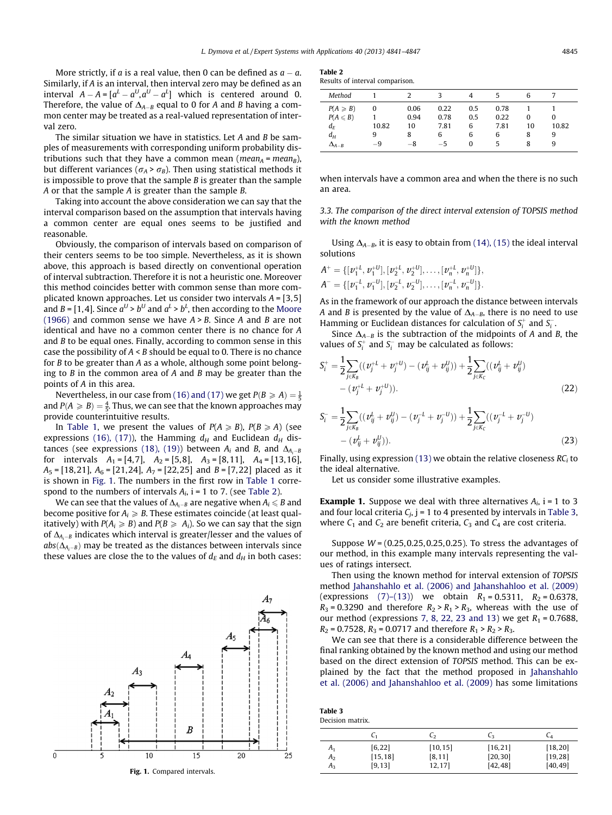More strictly, if a is a real value, then 0 can be defined as  $a - a$ . Similarly, if A is an interval, then interval zero may be defined as an interval  $A - A = [a^L - a^U, a^U - a^L]$  which is centered around 0. Therefore, the value of  $\Delta_{A-B}$  equal to 0 for A and B having a common center may be treated as a real-valued representation of interval zero.

The similar situation we have in statistics. Let A and B be samples of measurements with corresponding uniform probability distributions such that they have a common mean (*mean<sub>A</sub>* = *mean*<sub>B</sub>), but different variances ( $\sigma_A > \sigma_B$ ). Then using statistical methods it is impossible to prove that the sample  $B$  is greater than the sample A or that the sample A is greater than the sample B.

Taking into account the above consideration we can say that the interval comparison based on the assumption that intervals having a common center are equal ones seems to be justified and reasonable.

Obviously, the comparison of intervals based on comparison of their centers seems to be too simple. Nevertheless, as it is shown above, this approach is based directly on conventional operation of interval subtraction. Therefore it is not a heuristic one. Moreover this method coincides better with common sense than more complicated known approaches. Let us consider two intervals  $A = \begin{bmatrix} 3, 5 \end{bmatrix}$ and B = [1,4]. Since  $a^U > b^U$  and  $a^L > b^L$ , then according to the [Moore](#page-5-0) [\(1966\)](#page-5-0) and common sense we have  $A > B$ . Since A and B are not identical and have no a common center there is no chance for A and B to be equal ones. Finally, according to common sense in this case the possibility of  $A \leq B$  should be equal to 0. There is no chance for B to be greater than A as a whole, although some point belonging to  $B$  in the common area of  $A$  and  $B$  may be greater than the points of A in this area.

Nevertheless, in our case from [\(16\) and \(17\)](#page-3-0) we get  $P(B \geq A) = \frac{1}{5}$ and  $P(A \geq B) = \frac{4}{5}$ . Thus, we can see that the known approaches may provide counterintuitive results.

In [Table 1,](#page-2-0) we present the values of  $P(A \ge B)$ ,  $P(B \ge A)$  (see expressions [\(16\), \(17\)\)](#page-3-0), the Hamming  $d_H$  and Euclidean  $d_H$  dis-tances (see expressions [\(18\), \(19\)\)](#page-3-0) between  $A_i$  and  $B_i$ , and  $\Delta_{A_i-B}$ for intervals  $A_1 = [4, 7]$ ,  $A_2 = [5, 8]$ ,  $A_3 = [8, 11]$ ,  $A_4 = [13, 16]$ ,  $A_5 = [18,21], A_6 = [21,24], A_7 = [22,25]$  and  $B = [7,22]$  placed as it is shown in Fig. 1. The numbers in the first row in [Table 1](#page-2-0) correspond to the numbers of intervals  $A_i$ , i = 1 to 7. (see Table 2).

We can see that the values of  $\Delta_{A_i-B}$  are negative when  $A_i \leq B$  and become positive for  $A_i \geq B$ . These estimates coincide (at least qualitatively) with  $P(A_i \geq B)$  and  $P(B \geq A_i)$ . So we can say that the sign of  $\Delta_{A_i-B}$  indicates which interval is greater/lesser and the values of  $abs(\Delta_{A_i-B})$  may be treated as the distances between intervals since these values are close the to the values of  $d_E$  and  $d_H$  in both cases:



| -<br>II<br>n<br>c |
|-------------------|
|-------------------|

| Results of interval comparison. |  |
|---------------------------------|--|
|---------------------------------|--|

| Method                                                                                  |                  |                                 |                                   |                           |                           | 6                 |                      |  |
|-----------------------------------------------------------------------------------------|------------------|---------------------------------|-----------------------------------|---------------------------|---------------------------|-------------------|----------------------|--|
| $P(A \geq B)$<br>$P(A \leq B)$<br>$d_{\scriptscriptstyle F}$<br>$d_H$<br>$\Delta_{A-B}$ | 0<br>10.82<br>-9 | 0.06<br>0.94<br>10<br>8<br>$-8$ | 0.22<br>0.78<br>7.81<br>6<br>$-5$ | 0.5<br>0.5<br>6<br>6<br>0 | 0.78<br>0.22<br>7.81<br>6 | 0<br>10<br>8<br>8 | 0<br>10.82<br>9<br>9 |  |

when intervals have a common area and when the there is no such an area.

3.3. The comparison of the direct interval extension of TOPSIS method with the known method

Using  $\Delta_{A-B}$ , it is easy to obtain from [\(14\), \(15\)](#page-2-0) the ideal interval solutions

$$
A^+ = \{ [\nu_1^{+L}, \nu_1^{+U}], [\nu_2^{+L}, \nu_2^{+U}], \ldots, [\nu_n^{+L}, \nu_n^{+U}] \},
$$
  

$$
A^- = \{ [\nu_1^{-L}, \nu_1^{-U}], [\nu_2^{-L}, \nu_2^{-U}], \ldots, [\nu_n^{-L}, \nu_n^{-U}] \}.
$$

As in the framework of our approach the distance between intervals A and B is presented by the value of  $\Delta_{A-B}$ , there is no need to use Hamming or Euclidean distances for calculation of  $S_i^+$  and  $S_i^-$ .

Since  $\Delta_{A-B}$  is the subtraction of the midpoints of A and B, the values of  $S_i^+$  and  $S_i^-$  may be calculated as follows:

$$
S_i^+ = \frac{1}{2} \sum_{j \in K_B} ((v_j^{+L} + v_j^{+U}) - (v_{ij}^L + v_{ij}^U)) + \frac{1}{2} \sum_{j \in K_C} ((v_{ij}^L + v_{ij}^U) - (v_j^{+L} + v_j^{+U})).
$$
\n(22)

$$
S_i^- = \frac{1}{2} \sum_{j \in K_B} ((v_{ij}^L + v_{ij}^U) - (v_j^{-L} + v_j^{-U})) + \frac{1}{2} \sum_{j \in K_C} ((v_j^{-L} + v_j^{-U}) - (v_{ij}^L + v_{ij}^U)).
$$
\n(23)

Finally, using expression [\(13\)](#page-2-0) we obtain the relative closeness  $RC<sub>i</sub>$  to the ideal alternative.

Let us consider some illustrative examples.

**Example 1.** Suppose we deal with three alternatives  $A_i$ , i = 1 to 3 and four local criteria  $C_j$ , j = 1 to 4 presented by intervals in Table 3, where  $C_1$  and  $C_2$  are benefit criteria,  $C_3$  and  $C_4$  are cost criteria.

Suppose  $W = (0.25, 0.25, 0.25, 0.25)$ . To stress the advantages of our method, in this example many intervals representing the values of ratings intersect.

Then using the known method for interval extension of TOPSIS method Jahanshahlo et al. (2006) and Jahanshahloo et al. (2009) (expressions [\(7\)–\(13\)](#page-1-0)) we obtain  $R_1 = 0.5311$ ,  $R_2 = 0.6378$ ,  $R_3$  = 0.3290 and therefore  $R_2 > R_1 > R_3$ , whereas with the use of our method (expressions [7, 8, 22, 23 and 13](#page-1-0)) we get  $R_1 = 0.7688$ ,  $R_2 = 0.7528$ ,  $R_3 = 0.0717$  and therefore  $R_1 > R_2 > R_3$ .

We can see that there is a considerable difference between the final ranking obtained by the known method and using our method based on the direct extension of TOPSIS method. This can be explained by the fact that the method proposed in Jahanshahlo et al. (2006) and Jahanshahloo et al. (2009) has some limitations

Table 3 Decision matrix.

|                | U1       | しっ       | L٩       | ∪⊿       |
|----------------|----------|----------|----------|----------|
| $A_1$          | [6, 22]  | [10, 15] | [16, 21] | [18, 20] |
| A <sub>2</sub> | [15, 18] | [8, 11]  | [20, 30] | [19, 28] |
| $A_{3}$        | [9, 13]  | 12,17]   | [42, 48] | [40, 49] |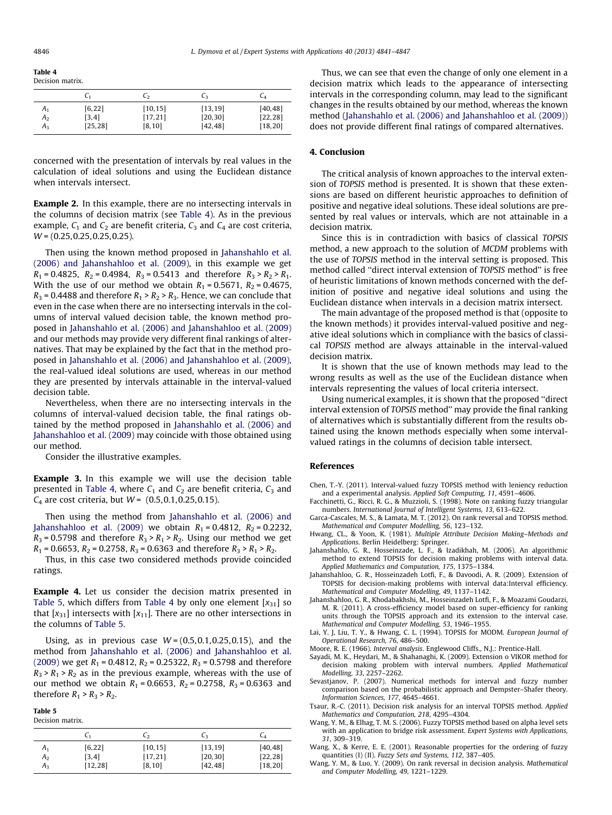<span id="page-5-0"></span>

Table 4 Decision matrix.

|                | U1       | しっ       | L٩       | ∪⊿       |
|----------------|----------|----------|----------|----------|
| A <sub>1</sub> | [6, 22]  | [10, 15] | [13, 19] | [40, 48] |
| $A_2$          | [3, 4]   | [17, 21] | [20, 30] | [22, 28] |
| $A_{3}$        | [25, 28] | [8, 10]  | [42, 48] | [18, 20] |

concerned with the presentation of intervals by real values in the calculation of ideal solutions and using the Euclidean distance when intervals intersect.

Example 2. In this example, there are no intersecting intervals in the columns of decision matrix (see Table 4). As in the previous example,  $C_1$  and  $C_2$  are benefit criteria,  $C_3$  and  $C_4$  are cost criteria,  $W = (0.25, 0.25, 0.25, 0.25)$ .

Then using the known method proposed in Jahanshahlo et al. (2006) and Jahanshahloo et al. (2009), in this example we get  $R_1 = 0.4825$ ,  $R_2 = 0.4984$ ,  $R_3 = 0.5413$  and therefore  $R_3 > R_2 > R_1$ . With the use of our method we obtain  $R_1 = 0.5671$ ,  $R_2 = 0.4675$ ,  $R_3$  = 0.4488 and therefore  $R_1 > R_2 > R_3$ . Hence, we can conclude that even in the case when there are no intersecting intervals in the columns of interval valued decision table, the known method proposed in Jahanshahlo et al. (2006) and Jahanshahloo et al. (2009) and our methods may provide very different final rankings of alternatives. That may be explained by the fact that in the method proposed in Jahanshahlo et al. (2006) and Jahanshahloo et al. (2009), the real-valued ideal solutions are used, whereas in our method they are presented by intervals attainable in the interval-valued decision table.

Nevertheless, when there are no intersecting intervals in the columns of interval-valued decision table, the final ratings obtained by the method proposed in Jahanshahlo et al. (2006) and Jahanshahloo et al. (2009) may coincide with those obtained using our method.

Consider the illustrative examples.

Example 3. In this example we will use the decision table presented in Table 4, where  $C_1$  and  $C_2$  are benefit criteria,  $C_3$  and  $C_4$  are cost criteria, but  $W = (0.5, 0.1, 0.25, 0.15)$ .

Then using the method from Jahanshahlo et al. (2006) and Jahanshahloo et al. (2009) we obtain  $R_1 = 0.4812$ ,  $R_2 = 0.2232$ ,  $R_3$  = 0.5798 and therefore  $R_3$  >  $R_1$  >  $R_2$ . Using our method we get  $R_1$  = 0.6653,  $R_2$  = 0.2758,  $R_3$  = 0.6363 and therefore  $R_3 > R_1 > R_2$ .

Thus, in this case two considered methods provide coincided ratings.

**Example 4.** Let us consider the decision matrix presented in Table 5, which differs from Table 4 by only one element  $[x_{31}]$  so that  $[x_{31}]$  intersects with  $[x_{11}]$ . There are no other intersections in the columns of Table 5.

Using, as in previous case  $W = (0.5, 0.1, 0.25, 0.15)$ , and the method from Jahanshahlo et al. (2006) and Jahanshahloo et al. (2009) we get  $R_1$  = 0.4812,  $R_2$  = 0.25322,  $R_3$  = 0.5798 and therefore  $R_3$  >  $R_1$  >  $R_2$  as in the previous example, whereas with the use of our method we obtain  $R_1 = 0.6653$ ,  $R_2 = 0.2758$ ,  $R_3 = 0.6363$  and therefore  $R_1 > R_3 > R_2$ .

Table 5 Decision matrix.

|                | C۱       | L2       | L٩       | C4       |
|----------------|----------|----------|----------|----------|
| $A_1$          | [6, 22]  | [10, 15] | [13, 19] | [40, 48] |
| A <sub>2</sub> | [3, 4]   | [17, 21] | [20, 30] | [22, 28] |
| $A_{3}$        | [12, 28] | [8, 10]  | [42, 48] | [18, 20] |

Thus, we can see that even the change of only one element in a decision matrix which leads to the appearance of intersecting intervals in the corresponding column, may lead to the significant changes in the results obtained by our method, whereas the known method (Jahanshahlo et al. (2006) and Jahanshahloo et al. (2009)) does not provide different final ratings of compared alternatives.

#### 4. Conclusion

The critical analysis of known approaches to the interval extension of TOPSIS method is presented. It is shown that these extensions are based on different heuristic approaches to definition of positive and negative ideal solutions. These ideal solutions are presented by real values or intervals, which are not attainable in a decision matrix.

Since this is in contradiction with basics of classical TOPSIS method, a new approach to the solution of MCDM problems with the use of TOPSIS method in the interval setting is proposed. This method called ''direct interval extension of TOPSIS method'' is free of heuristic limitations of known methods concerned with the definition of positive and negative ideal solutions and using the Euclidean distance when intervals in a decision matrix intersect.

The main advantage of the proposed method is that (opposite to the known methods) it provides interval-valued positive and negative ideal solutions which in compliance with the basics of classical TOPSIS method are always attainable in the interval-valued decision matrix.

It is shown that the use of known methods may lead to the wrong results as well as the use of the Euclidean distance when intervals representing the values of local criteria intersect.

Using numerical examples, it is shown that the proposed ''direct interval extension of TOPSIS method'' may provide the final ranking of alternatives which is substantially different from the results obtained using the known methods especially when some intervalvalued ratings in the columns of decision table intersect.

#### References

Chen, T.-Y. (2011). Interval-valued fuzzy TOPSIS method with leniency reduction and a experimental analysis. Applied Soft Computing, 11, 4591–4606.

- Facchinetti, G., Ricci, R. G., & Muzzioli, S. (1998). Note on ranking fuzzy triangular numbers. International Journal of Intelligent Systems, 13, 613–622.
- Garca-Cascales, M. S., & Lamata, M. T. (2012). On rank reversal and TOPSIS method. Mathematical and Computer Modelling, 56, 123–132.
- Hwang, CL., & Yoon, K. (1981). Multiple Attribute Decision Making–Methods and Applications. Berlin Heidelberg: Springer.
- Jahanshahlo, G. R., Hosseinzade, L. F., & Izadikhah, M. (2006). An algorithmic method to extend TOPSIS for decision making problems with interval data. Applied Mathematics and Computation, 175, 1375-1384.
- Jahanshahloo, G. R., Hosseinzadeh Lotfi, F., & Davoodi, A. R. (2009). Extension of TOPSIS for decision-making problems with interval data:Interval efficiency. Mathematical and Computer Modelling, 49, 1137–1142.
- Jahanshahloo, G. R., Khodabakhshi, M., Hosseinzadeh Lotfi, F., & Moazami Goudarzi, M. R. (2011). A cross-efficiency model based on super-efficiency for ranking units through the TOPSIS approach and its extension to the interval case. Mathematical and Computer Modelling, 53, 1946–1955.
- Lai, Y. J, Liu, T. Y., & Hwang, C. L. (1994). TOPSIS for MODM. European Journal of Operational Research, 76, 486–500.
- Moore, R. E. (1966). Interval analysis. Englewood Cliffs., N.J.: Prentice-Hall.
- Sayadi, M. K., Heydari, M., & Shahanaghi, K. (2009). Extension o VIKOR method for decision making problem with interval numbers. Applied Mathematical Modelling, 33, 2257–2262.
- Sevastjanov, P. (2007). Numerical methods for interval and fuzzy number comparison based on the probabilistic approach and Dempster–Shafer theory. Information Sciences, 177 , 4645–4661.
- Tsaur, R.-C. (2011). Decision risk analysis for an interval TOPSIS method. Applied Mathematics and Computation, 218, 4295-4304.
- Wang, Y. M., & Elhag, T. M. S. (2006). Fuzzy TOPSIS method based on alpha level sets with an application to bridge risk assessment. Expert Systems with Applications, 31, 309–319.
- Wang, X., & Kerre, E. E. (2001). Reasonable properties for the ordering of fuzzy quantities (I) (II). Fuzzy Sets and Systems, 112, 387-405.
- Wang, Y. M., & Luo, Y. (2009). On rank reversal in decision analysis. Mathematical and Computer Modelling, 49, 1221–1229.